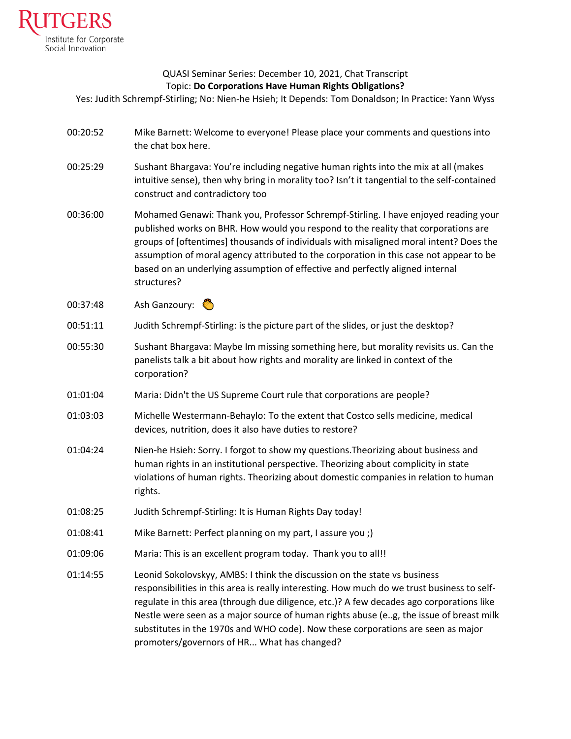

## QUASI Seminar Series: December 10, 2021, Chat Transcript Topic: **Do Corporations Have Human Rights Obligations?**

Yes: Judith Schrempf-Stirling; No: Nien-he Hsieh; It Depends: Tom Donaldson; In Practice: Yann Wyss

- 00:20:52 Mike Barnett: Welcome to everyone! Please place your comments and questions into the chat box here.
- 00:25:29 Sushant Bhargava: You're including negative human rights into the mix at all (makes intuitive sense), then why bring in morality too? Isn't it tangential to the self-contained construct and contradictory too
- 00:36:00 Mohamed Genawi: Thank you, Professor Schrempf-Stirling. I have enjoyed reading your published works on BHR. How would you respond to the reality that corporations are groups of [oftentimes] thousands of individuals with misaligned moral intent? Does the assumption of moral agency attributed to the corporation in this case not appear to be based on an underlying assumption of effective and perfectly aligned internal structures?
- 00:37:48 Ash Ganzoury:
- 00:51:11 Judith Schrempf-Stirling: is the picture part of the slides, or just the desktop?
- 00:55:30 Sushant Bhargava: Maybe Im missing something here, but morality revisits us. Can the panelists talk a bit about how rights and morality are linked in context of the corporation?
- 01:01:04 Maria: Didn't the US Supreme Court rule that corporations are people?
- 01:03:03 Michelle Westermann-Behaylo: To the extent that Costco sells medicine, medical devices, nutrition, does it also have duties to restore?
- 01:04:24 Nien-he Hsieh: Sorry. I forgot to show my questions.Theorizing about business and human rights in an institutional perspective. Theorizing about complicity in state violations of human rights. Theorizing about domestic companies in relation to human rights.
- 01:08:25 Judith Schrempf-Stirling: It is Human Rights Day today!
- 01:08:41 Mike Barnett: Perfect planning on my part, I assure you ;)
- 01:09:06 Maria: This is an excellent program today. Thank you to all!!
- 01:14:55 Leonid Sokolovskyy, AMBS: I think the discussion on the state vs business responsibilities in this area is really interesting. How much do we trust business to selfregulate in this area (through due diligence, etc.)? A few decades ago corporations like Nestle were seen as a major source of human rights abuse (e..g, the issue of breast milk substitutes in the 1970s and WHO code). Now these corporations are seen as major promoters/governors of HR... What has changed?